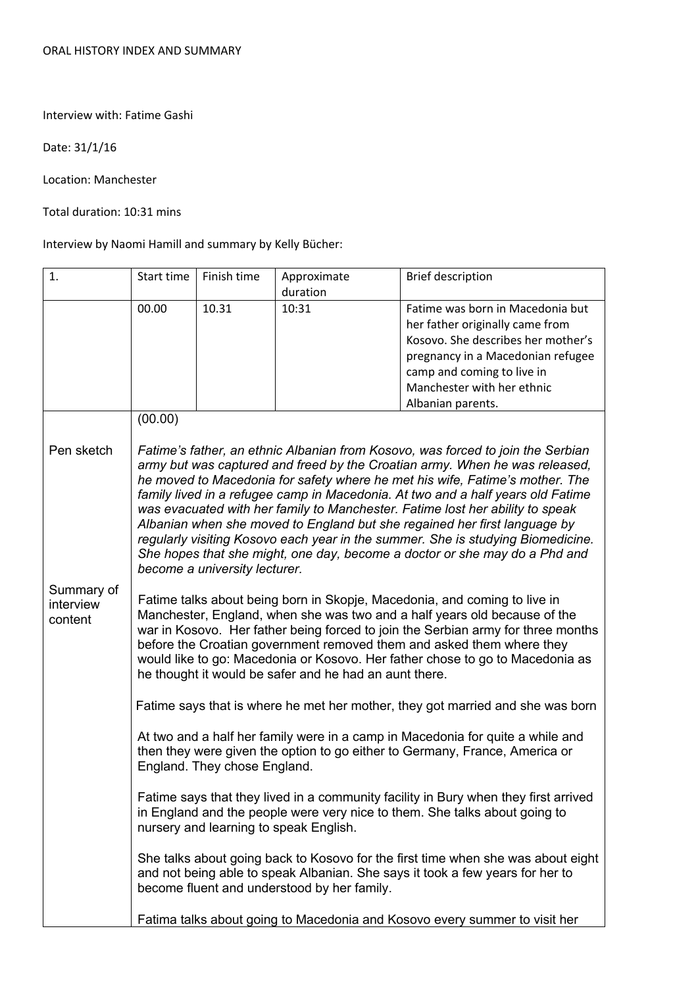Interview with: Fatime Gashi

Date: 31/1/16

Location: Manchester

Total duration: 10:31 mins

Interview by Naomi Hamill and summary by Kelly Bücher:

| 1.                                 | Start time                                                                                                                                                                                                                                                                                                                                                                                                                                                     | Finish time                   | Approximate<br>duration | <b>Brief description</b>                                                                                                                                                                                                                                                                                                                                                                                                                                                                                                                                                                                                                                         |  |
|------------------------------------|----------------------------------------------------------------------------------------------------------------------------------------------------------------------------------------------------------------------------------------------------------------------------------------------------------------------------------------------------------------------------------------------------------------------------------------------------------------|-------------------------------|-------------------------|------------------------------------------------------------------------------------------------------------------------------------------------------------------------------------------------------------------------------------------------------------------------------------------------------------------------------------------------------------------------------------------------------------------------------------------------------------------------------------------------------------------------------------------------------------------------------------------------------------------------------------------------------------------|--|
|                                    | 00.00                                                                                                                                                                                                                                                                                                                                                                                                                                                          | 10.31                         | 10:31                   | Fatime was born in Macedonia but<br>her father originally came from<br>Kosovo. She describes her mother's<br>pregnancy in a Macedonian refugee<br>camp and coming to live in<br>Manchester with her ethnic<br>Albanian parents.                                                                                                                                                                                                                                                                                                                                                                                                                                  |  |
|                                    | (00.00)                                                                                                                                                                                                                                                                                                                                                                                                                                                        |                               |                         |                                                                                                                                                                                                                                                                                                                                                                                                                                                                                                                                                                                                                                                                  |  |
| Pen sketch                         |                                                                                                                                                                                                                                                                                                                                                                                                                                                                | become a university lecturer. |                         | Fatime's father, an ethnic Albanian from Kosovo, was forced to join the Serbian<br>army but was captured and freed by the Croatian army. When he was released,<br>he moved to Macedonia for safety where he met his wife, Fatime's mother. The<br>family lived in a refugee camp in Macedonia. At two and a half years old Fatime<br>was evacuated with her family to Manchester. Fatime lost her ability to speak<br>Albanian when she moved to England but she regained her first language by<br>regularly visiting Kosovo each year in the summer. She is studying Biomedicine.<br>She hopes that she might, one day, become a doctor or she may do a Phd and |  |
| Summary of<br>interview<br>content | Fatime talks about being born in Skopje, Macedonia, and coming to live in<br>Manchester, England, when she was two and a half years old because of the<br>war in Kosovo. Her father being forced to join the Serbian army for three months<br>before the Croatian government removed them and asked them where they<br>would like to go: Macedonia or Kosovo. Her father chose to go to Macedonia as<br>he thought it would be safer and he had an aunt there. |                               |                         |                                                                                                                                                                                                                                                                                                                                                                                                                                                                                                                                                                                                                                                                  |  |
|                                    | Fatime says that is where he met her mother, they got married and she was born                                                                                                                                                                                                                                                                                                                                                                                 |                               |                         |                                                                                                                                                                                                                                                                                                                                                                                                                                                                                                                                                                                                                                                                  |  |
|                                    | At two and a half her family were in a camp in Macedonia for quite a while and<br>then they were given the option to go either to Germany, France, America or<br>England. They chose England.                                                                                                                                                                                                                                                                  |                               |                         |                                                                                                                                                                                                                                                                                                                                                                                                                                                                                                                                                                                                                                                                  |  |
|                                    | Fatime says that they lived in a community facility in Bury when they first arrived<br>in England and the people were very nice to them. She talks about going to<br>nursery and learning to speak English.                                                                                                                                                                                                                                                    |                               |                         |                                                                                                                                                                                                                                                                                                                                                                                                                                                                                                                                                                                                                                                                  |  |
|                                    | She talks about going back to Kosovo for the first time when she was about eight<br>and not being able to speak Albanian. She says it took a few years for her to<br>become fluent and understood by her family.                                                                                                                                                                                                                                               |                               |                         |                                                                                                                                                                                                                                                                                                                                                                                                                                                                                                                                                                                                                                                                  |  |
|                                    | Fatima talks about going to Macedonia and Kosovo every summer to visit her                                                                                                                                                                                                                                                                                                                                                                                     |                               |                         |                                                                                                                                                                                                                                                                                                                                                                                                                                                                                                                                                                                                                                                                  |  |